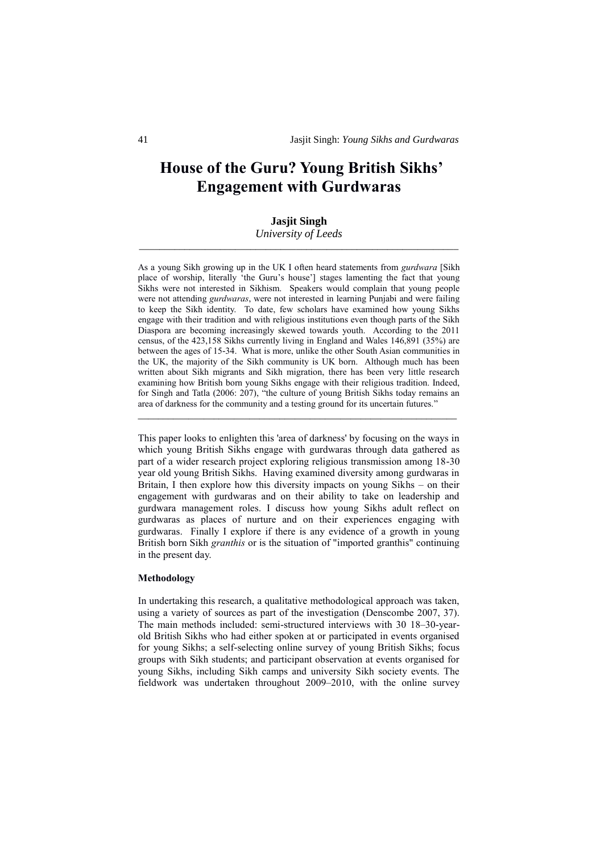# **House of the Guru? Young British Sikhs' Engagement with Gurdwaras**

# **Jasjit Singh**

*University of Leeds \_\_\_\_\_\_\_\_\_\_\_\_\_\_\_\_\_\_\_\_\_\_\_\_\_\_\_\_\_\_\_\_\_\_\_\_\_\_\_\_\_\_\_\_\_\_\_\_\_\_\_\_\_\_\_\_\_\_\_\_\_\_\_*

As a young Sikh growing up in the UK I often heard statements from *gurdwara* [Sikh place of worship, literally 'the Guru's house'] stages lamenting the fact that young Sikhs were not interested in Sikhism. Speakers would complain that young people were not attending *gurdwaras*, were not interested in learning Punjabi and were failing to keep the Sikh identity. To date, few scholars have examined how young Sikhs engage with their tradition and with religious institutions even though parts of the Sikh Diaspora are becoming increasingly skewed towards youth. According to the 2011 census, of the 423,158 Sikhs currently living in England and Wales 146,891 (35%) are between the ages of 15-34. What is more, unlike the other South Asian communities in the UK, the majority of the Sikh community is UK born. Although much has been written about Sikh migrants and Sikh migration, there has been very little research examining how British born young Sikhs engage with their religious tradition. Indeed, for Singh and Tatla (2006: 207), "the culture of young British Sikhs today remains an area of darkness for the community and a testing ground for its uncertain futures."

\_\_\_\_\_\_\_\_\_\_\_\_\_\_\_\_\_\_\_\_\_\_\_\_\_\_\_\_\_\_\_\_\_\_\_\_\_\_\_\_\_\_\_\_\_\_\_\_\_\_\_\_\_\_\_\_\_\_\_\_\_\_\_

This paper looks to enlighten this 'area of darkness' by focusing on the ways in which young British Sikhs engage with gurdwaras through data gathered as part of a wider research project exploring religious transmission among 18-30 year old young British Sikhs. Having examined diversity among gurdwaras in Britain, I then explore how this diversity impacts on young Sikhs – on their engagement with gurdwaras and on their ability to take on leadership and gurdwara management roles. I discuss how young Sikhs adult reflect on gurdwaras as places of nurture and on their experiences engaging with gurdwaras. Finally I explore if there is any evidence of a growth in young British born Sikh *granthis* or is the situation of "imported granthis" continuing in the present day.

## **Methodology**

In undertaking this research, a qualitative methodological approach was taken, using a variety of sources as part of the investigation (Denscombe 2007, 37). The main methods included: semi-structured interviews with 30 18–30-yearold British Sikhs who had either spoken at or participated in events organised for young Sikhs; a self-selecting online survey of young British Sikhs; focus groups with Sikh students; and participant observation at events organised for young Sikhs, including Sikh camps and university Sikh society events. The fieldwork was undertaken throughout 2009–2010, with the online survey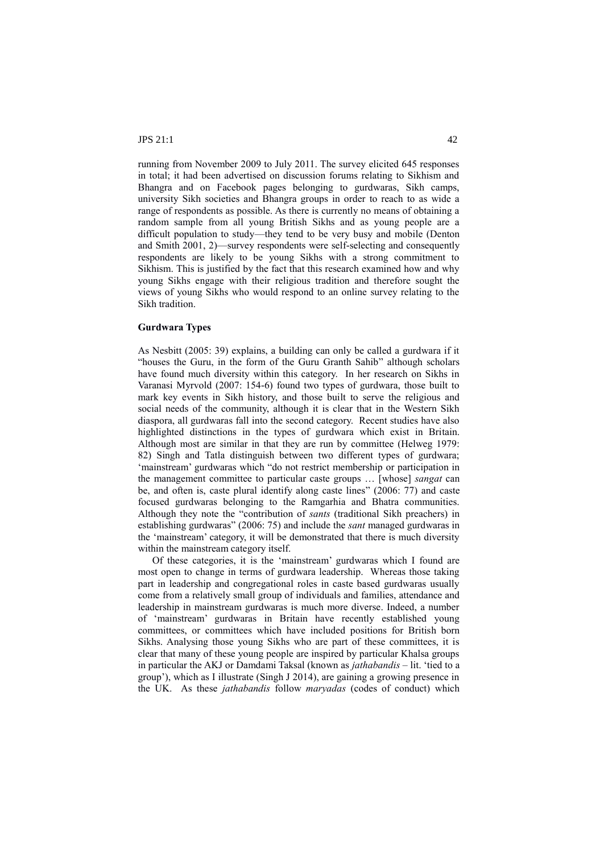running from November 2009 to July 2011. The survey elicited 645 responses in total; it had been advertised on discussion forums relating to Sikhism and Bhangra and on Facebook pages belonging to gurdwaras, Sikh camps, university Sikh societies and Bhangra groups in order to reach to as wide a range of respondents as possible. As there is currently no means of obtaining a random sample from all young British Sikhs and as young people are a difficult population to study—they tend to be very busy and mobile (Denton and Smith 2001, 2)—survey respondents were self-selecting and consequently respondents are likely to be young Sikhs with a strong commitment to Sikhism. This is justified by the fact that this research examined how and why young Sikhs engage with their religious tradition and therefore sought the views of young Sikhs who would respond to an online survey relating to the Sikh tradition.

# **Gurdwara Types**

As Nesbitt (2005: 39) explains, a building can only be called a gurdwara if it "houses the Guru, in the form of the Guru Granth Sahib" although scholars have found much diversity within this category. In her research on Sikhs in Varanasi Myrvold (2007: 154-6) found two types of gurdwara, those built to mark key events in Sikh history, and those built to serve the religious and social needs of the community, although it is clear that in the Western Sikh diaspora, all gurdwaras fall into the second category. Recent studies have also highlighted distinctions in the types of gurdwara which exist in Britain. Although most are similar in that they are run by committee (Helweg 1979: 82) Singh and Tatla distinguish between two different types of gurdwara; 'mainstream' gurdwaras which "do not restrict membership or participation in the management committee to particular caste groups … [whose] *sangat* can be, and often is, caste plural identify along caste lines" (2006: 77) and caste focused gurdwaras belonging to the Ramgarhia and Bhatra communities. Although they note the "contribution of *sants* (traditional Sikh preachers) in establishing gurdwaras" (2006: 75) and include the *sant* managed gurdwaras in the 'mainstream' category, it will be demonstrated that there is much diversity within the mainstream category itself.

Of these categories, it is the 'mainstream' gurdwaras which I found are most open to change in terms of gurdwara leadership. Whereas those taking part in leadership and congregational roles in caste based gurdwaras usually come from a relatively small group of individuals and families, attendance and leadership in mainstream gurdwaras is much more diverse. Indeed, a number of 'mainstream' gurdwaras in Britain have recently established young committees, or committees which have included positions for British born Sikhs. Analysing those young Sikhs who are part of these committees, it is clear that many of these young people are inspired by particular Khalsa groups in particular the AKJ or Damdami Taksal (known as *jathabandis* – lit. 'tied to a group'), which as I illustrate (Singh J 2014), are gaining a growing presence in the UK. As these *jathabandis* follow *maryadas* (codes of conduct) which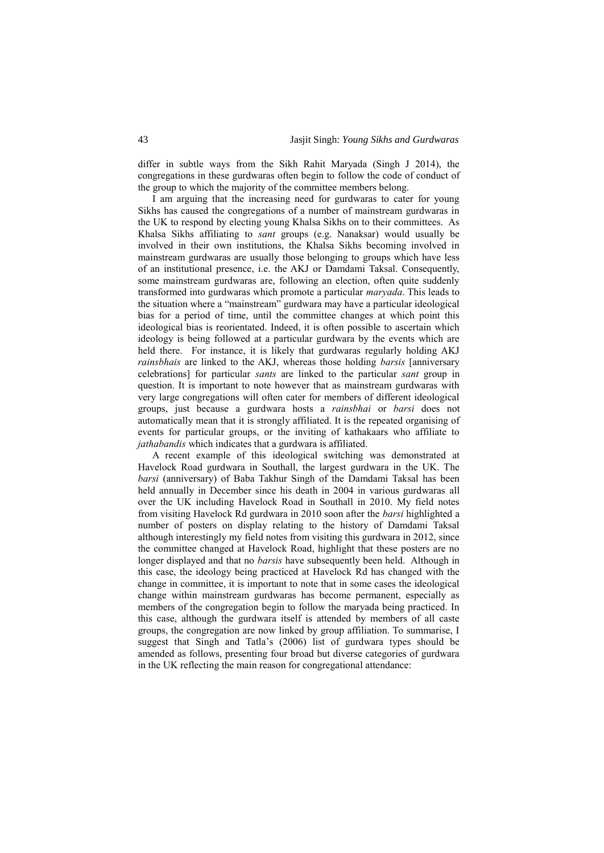differ in subtle ways from the Sikh Rahit Maryada (Singh J 2014), the congregations in these gurdwaras often begin to follow the code of conduct of the group to which the majority of the committee members belong.

I am arguing that the increasing need for gurdwaras to cater for young Sikhs has caused the congregations of a number of mainstream gurdwaras in the UK to respond by electing young Khalsa Sikhs on to their committees. As Khalsa Sikhs affiliating to *sant* groups (e.g. Nanaksar) would usually be involved in their own institutions, the Khalsa Sikhs becoming involved in mainstream gurdwaras are usually those belonging to groups which have less of an institutional presence, i.e. the AKJ or Damdami Taksal. Consequently, some mainstream gurdwaras are, following an election, often quite suddenly transformed into gurdwaras which promote a particular *maryada*. This leads to the situation where a "mainstream" gurdwara may have a particular ideological bias for a period of time, until the committee changes at which point this ideological bias is reorientated. Indeed, it is often possible to ascertain which ideology is being followed at a particular gurdwara by the events which are held there. For instance, it is likely that gurdwaras regularly holding AKJ *rainsbhais* are linked to the AKJ, whereas those holding *barsis* [anniversary celebrations] for particular *sants* are linked to the particular *sant* group in question. It is important to note however that as mainstream gurdwaras with very large congregations will often cater for members of different ideological groups, just because a gurdwara hosts a *rainsbhai* or *barsi* does not automatically mean that it is strongly affiliated. It is the repeated organising of events for particular groups, or the inviting of kathakaars who affiliate to *jathabandis* which indicates that a gurdwara is affiliated.

A recent example of this ideological switching was demonstrated at Havelock Road gurdwara in Southall, the largest gurdwara in the UK. The *barsi* (anniversary) of Baba Takhur Singh of the Damdami Taksal has been held annually in December since his death in 2004 in various gurdwaras all over the UK including Havelock Road in Southall in 2010. My field notes from visiting Havelock Rd gurdwara in 2010 soon after the *barsi* highlighted a number of posters on display relating to the history of Damdami Taksal although interestingly my field notes from visiting this gurdwara in 2012, since the committee changed at Havelock Road, highlight that these posters are no longer displayed and that no *barsis* have subsequently been held. Although in this case, the ideology being practiced at Havelock Rd has changed with the change in committee, it is important to note that in some cases the ideological change within mainstream gurdwaras has become permanent, especially as members of the congregation begin to follow the maryada being practiced. In this case, although the gurdwara itself is attended by members of all caste groups, the congregation are now linked by group affiliation. To summarise, I suggest that Singh and Tatla's (2006) list of gurdwara types should be amended as follows, presenting four broad but diverse categories of gurdwara in the UK reflecting the main reason for congregational attendance: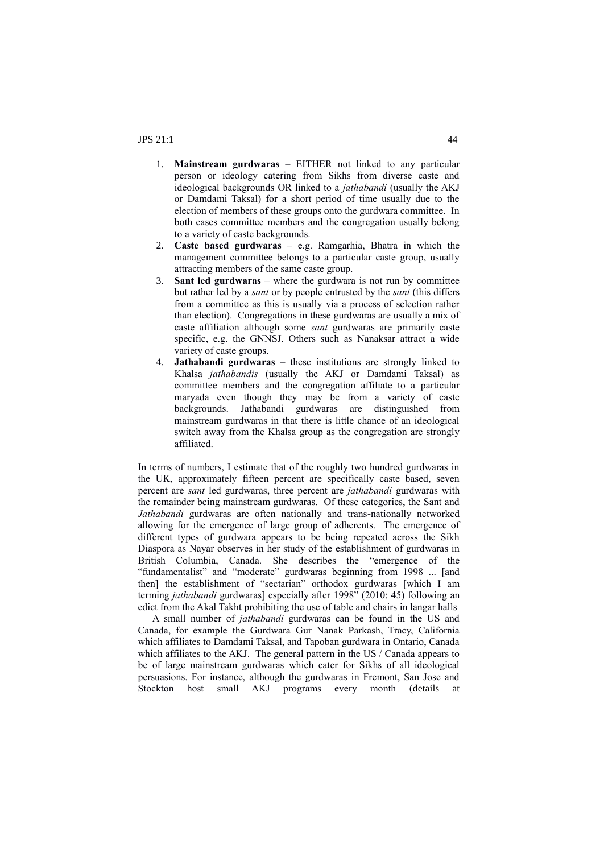- 1. **Mainstream gurdwaras** EITHER not linked to any particular person or ideology catering from Sikhs from diverse caste and ideological backgrounds OR linked to a *jathabandi* (usually the AKJ or Damdami Taksal) for a short period of time usually due to the election of members of these groups onto the gurdwara committee. In both cases committee members and the congregation usually belong to a variety of caste backgrounds.
- 2. **Caste based gurdwaras** e.g. Ramgarhia, Bhatra in which the management committee belongs to a particular caste group, usually attracting members of the same caste group.
- 3. **Sant led gurdwaras** where the gurdwara is not run by committee but rather led by a *sant* or by people entrusted by the *sant* (this differs from a committee as this is usually via a process of selection rather than election). Congregations in these gurdwaras are usually a mix of caste affiliation although some *sant* gurdwaras are primarily caste specific, e.g. the GNNSJ. Others such as Nanaksar attract a wide variety of caste groups.
- 4. **Jathabandi gurdwaras** these institutions are strongly linked to Khalsa *jathabandis* (usually the AKJ or Damdami Taksal) as committee members and the congregation affiliate to a particular maryada even though they may be from a variety of caste backgrounds. Jathabandi gurdwaras are distinguished from mainstream gurdwaras in that there is little chance of an ideological switch away from the Khalsa group as the congregation are strongly affiliated.

In terms of numbers, I estimate that of the roughly two hundred gurdwaras in the UK, approximately fifteen percent are specifically caste based, seven percent are *sant* led gurdwaras, three percent are *jathabandi* gurdwaras with the remainder being mainstream gurdwaras. Of these categories, the Sant and *Jathabandi* gurdwaras are often nationally and trans-nationally networked allowing for the emergence of large group of adherents. The emergence of different types of gurdwara appears to be being repeated across the Sikh Diaspora as Nayar observes in her study of the establishment of gurdwaras in British Columbia, Canada. She describes the "emergence of the "fundamentalist" and "moderate" gurdwaras beginning from 1998 ... [and then] the establishment of "sectarian" orthodox gurdwaras [which I am terming *jathabandi* gurdwaras] especially after 1998" (2010: 45) following an edict from the Akal Takht prohibiting the use of table and chairs in langar halls

A small number of *jathabandi* gurdwaras can be found in the US and Canada, for example the Gurdwara Gur Nanak Parkash, Tracy, California which affiliates to Damdami Taksal, and Tapoban gurdwara in Ontario, Canada which affiliates to the AKJ. The general pattern in the US / Canada appears to be of large mainstream gurdwaras which cater for Sikhs of all ideological persuasions. For instance, although the gurdwaras in Fremont, San Jose and Stockton host small AKJ programs every month (details at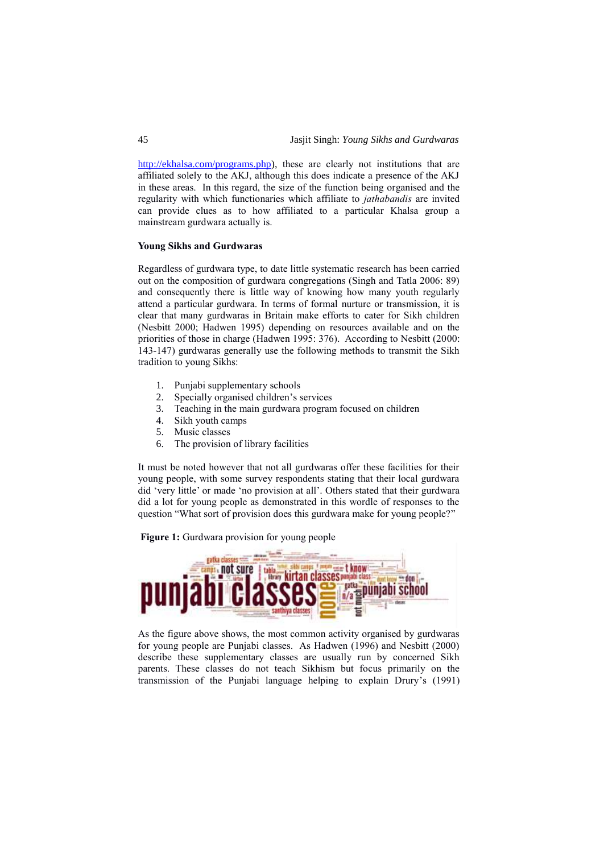[http://ekhalsa.com/programs.php\)](http://ekhalsa.com/programs.php), these are clearly not institutions that are affiliated solely to the AKJ, although this does indicate a presence of the AKJ in these areas. In this regard, the size of the function being organised and the regularity with which functionaries which affiliate to *jathabandis* are invited can provide clues as to how affiliated to a particular Khalsa group a mainstream gurdwara actually is.

## **Young Sikhs and Gurdwaras**

Regardless of gurdwara type, to date little systematic research has been carried out on the composition of gurdwara congregations (Singh and Tatla 2006: 89) and consequently there is little way of knowing how many youth regularly attend a particular gurdwara. In terms of formal nurture or transmission, it is clear that many gurdwaras in Britain make efforts to cater for Sikh children (Nesbitt 2000; Hadwen 1995) depending on resources available and on the priorities of those in charge (Hadwen 1995: 376). According to Nesbitt (2000: 143-147) gurdwaras generally use the following methods to transmit the Sikh tradition to young Sikhs:

- 1. Punjabi supplementary schools
- 
- 2. Specially organised children's services<br>3. Teaching in the main gurdwara progran<br>4. Sikh youth camps Teaching in the main gurdwara program focused on children
- Sikh youth camps
- 5. Music classes
- 6. The provision of library facilities

It must be noted however that not all gurdwaras offer these facilities for their young people, with some survey respondents stating that their local gurdwara did 'very little' or made 'no provision at all'. Others stated that their gurdwara did a lot for young people as demonstrated in this wordle of responses to the question "What sort of provision does this gurdwara make for young people?"

**Figure 1:** Gurdwara provision for young people



As the figure above shows, the most common activity organised by gurdwaras for young people are Punjabi classes. As Hadwen (1996) and Nesbitt (2000) describe these supplementary classes are usually run by concerned Sikh parents. These classes do not teach Sikhism but focus primarily on the transmission of the Punjabi language helping to explain Drury's (1991)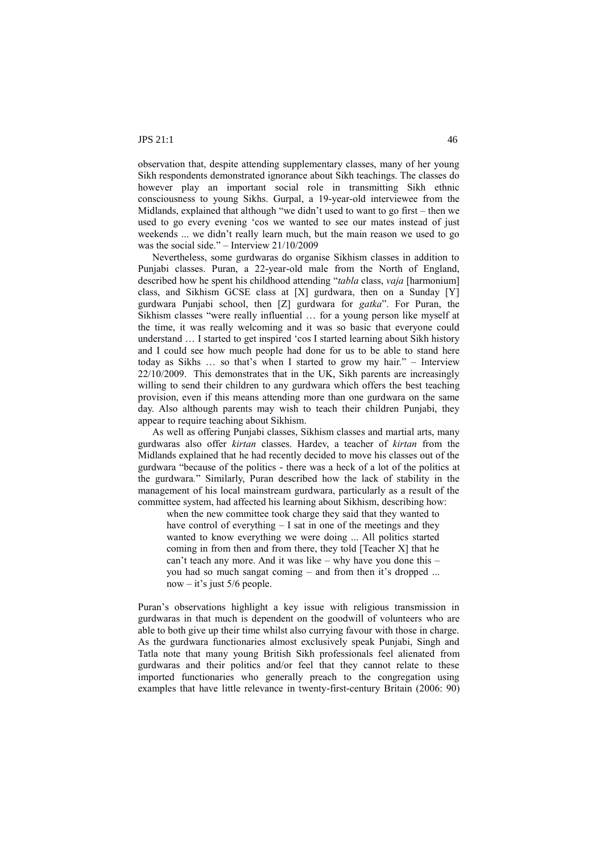observation that, despite attending supplementary classes, many of her young Sikh respondents demonstrated ignorance about Sikh teachings. The classes do however play an important social role in transmitting Sikh ethnic consciousness to young Sikhs. Gurpal, a 19-year-old interviewee from the Midlands, explained that although "we didn't used to want to go first – then we used to go every evening 'cos we wanted to see our mates instead of just weekends ... we didn't really learn much, but the main reason we used to go was the social side." – Interview 21/10/2009

Nevertheless, some gurdwaras do organise Sikhism classes in addition to Punjabi classes. Puran, a 22-year-old male from the North of England, described how he spent his childhood attending "*tabla* class, *vaja* [harmonium] class, and Sikhism GCSE class at [X] gurdwara, then on a Sunday [Y] gurdwara Punjabi school, then [Z] gurdwara for *gatka*". For Puran, the Sikhism classes "were really influential … for a young person like myself at the time, it was really welcoming and it was so basic that everyone could understand … I started to get inspired 'cos I started learning about Sikh history and I could see how much people had done for us to be able to stand here today as Sikhs … so that's when I started to grow my hair." – Interview 22/10/2009. This demonstrates that in the UK, Sikh parents are increasingly willing to send their children to any gurdwara which offers the best teaching provision, even if this means attending more than one gurdwara on the same day. Also although parents may wish to teach their children Punjabi, they appear to require teaching about Sikhism.

As well as offering Punjabi classes, Sikhism classes and martial arts, many gurdwaras also offer *kirtan* classes. Hardev, a teacher of *kirtan* from the Midlands explained that he had recently decided to move his classes out of the gurdwara "because of the politics - there was a heck of a lot of the politics at the gurdwara*.*" Similarly, Puran described how the lack of stability in the management of his local mainstream gurdwara, particularly as a result of the committee system, had affected his learning about Sikhism, describing how:

when the new committee took charge they said that they wanted to have control of everything – I sat in one of the meetings and they wanted to know everything we were doing ... All politics started coming in from then and from there, they told [Teacher X] that he can't teach any more. And it was like – why have you done this – you had so much sangat coming – and from then it's dropped ... now – it's just 5/6 people.

Puran's observations highlight a key issue with religious transmission in gurdwaras in that much is dependent on the goodwill of volunteers who are able to both give up their time whilst also currying favour with those in charge. As the gurdwara functionaries almost exclusively speak Punjabi, Singh and Tatla note that many young British Sikh professionals feel alienated from gurdwaras and their politics and/or feel that they cannot relate to these imported functionaries who generally preach to the congregation using examples that have little relevance in twenty-first-century Britain (2006: 90)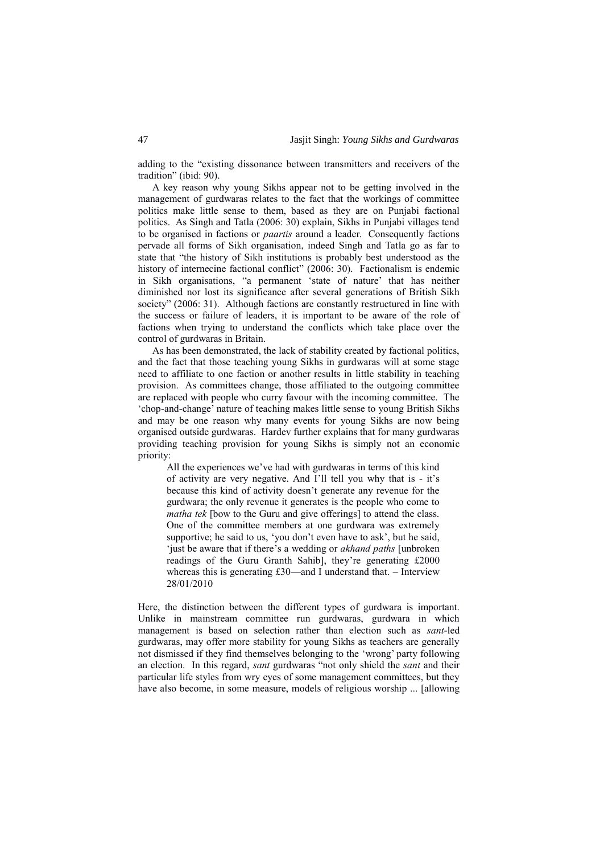adding to the "existing dissonance between transmitters and receivers of the tradition" (ibid: 90).

A key reason why young Sikhs appear not to be getting involved in the management of gurdwaras relates to the fact that the workings of committee politics make little sense to them, based as they are on Punjabi factional politics. As Singh and Tatla (2006: 30) explain, Sikhs in Punjabi villages tend to be organised in factions or *paartis* around a leader. Consequently factions pervade all forms of Sikh organisation, indeed Singh and Tatla go as far to state that "the history of Sikh institutions is probably best understood as the history of internecine factional conflict" (2006: 30). Factionalism is endemic in Sikh organisations, "a permanent 'state of nature' that has neither diminished nor lost its significance after several generations of British Sikh society" (2006: 31). Although factions are constantly restructured in line with the success or failure of leaders, it is important to be aware of the role of factions when trying to understand the conflicts which take place over the control of gurdwaras in Britain.

As has been demonstrated, the lack of stability created by factional politics, and the fact that those teaching young Sikhs in gurdwaras will at some stage need to affiliate to one faction or another results in little stability in teaching provision. As committees change, those affiliated to the outgoing committee are replaced with people who curry favour with the incoming committee. The 'chop-and-change' nature of teaching makes little sense to young British Sikhs and may be one reason why many events for young Sikhs are now being organised outside gurdwaras. Hardev further explains that for many gurdwaras providing teaching provision for young Sikhs is simply not an economic priority:

All the experiences we've had with gurdwaras in terms of this kind of activity are very negative. And I'll tell you why that is - it's because this kind of activity doesn't generate any revenue for the gurdwara; the only revenue it generates is the people who come to *matha tek* [bow to the Guru and give offerings] to attend the class. One of the committee members at one gurdwara was extremely supportive; he said to us, 'you don't even have to ask', but he said, 'just be aware that if there's a wedding or *akhand paths* [unbroken readings of the Guru Granth Sahib], they're generating £2000 whereas this is generating £30—and I understand that. – Interview 28/01/2010

Here, the distinction between the different types of gurdwara is important. Unlike in mainstream committee run gurdwaras, gurdwara in which management is based on selection rather than election such as *sant*-led gurdwaras, may offer more stability for young Sikhs as teachers are generally not dismissed if they find themselves belonging to the 'wrong' party following an election. In this regard, *sant* gurdwaras "not only shield the *sant* and their particular life styles from wry eyes of some management committees, but they have also become, in some measure, models of religious worship ... [allowing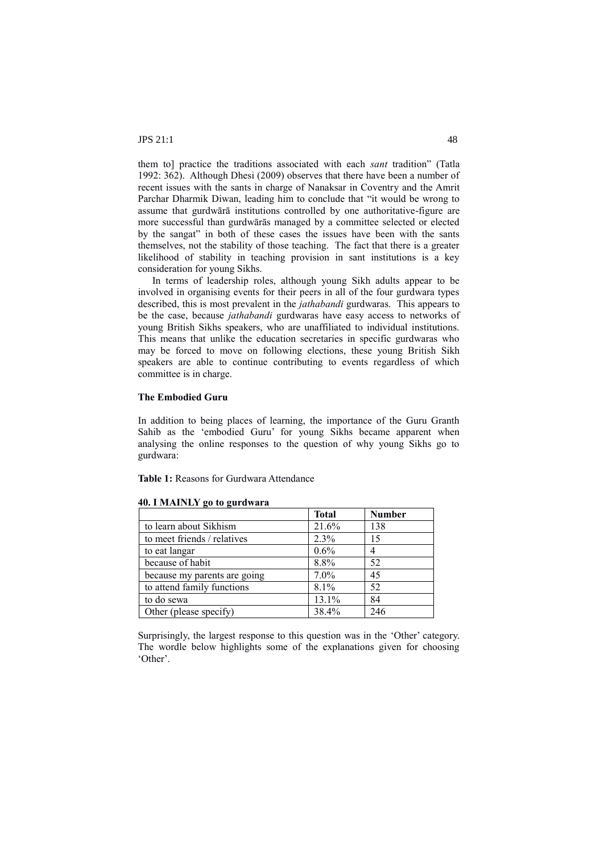them to] practice the traditions associated with each *sant* tradition" (Tatla 1992: 362). Although Dhesi (2009) observes that there have been a number of recent issues with the sants in charge of Nanaksar in Coventry and the Amrit Parchar Dharmik Diwan, leading him to conclude that "it would be wrong to assume that gurdwārā institutions controlled by one authoritative-figure are more successful than gurdwārās managed by a committee selected or elected by the sangat" in both of these cases the issues have been with the sants themselves, not the stability of those teaching. The fact that there is a greater likelihood of stability in teaching provision in sant institutions is a key consideration for young Sikhs.

In terms of leadership roles, although young Sikh adults appear to be involved in organising events for their peers in all of the four gurdwara types described, this is most prevalent in the *jathabandi* gurdwaras. This appears to be the case, because *jathabandi* gurdwaras have easy access to networks of young British Sikhs speakers, who are unaffiliated to individual institutions. This means that unlike the education secretaries in specific gurdwaras who may be forced to move on following elections, these young British Sikh speakers are able to continue contributing to events regardless of which committee is in charge.

## **The Embodied Guru**

In addition to being places of learning, the importance of the Guru Granth Sahib as the 'embodied Guru' for young Sikhs became apparent when analysing the online responses to the question of why young Sikhs go to gurdwara:

**Table 1:** Reasons for Gurdwara Attendance

|                              | <b>Total</b> | <b>Number</b> |
|------------------------------|--------------|---------------|
| to learn about Sikhism       | 21.6%        | 138           |
| to meet friends / relatives  | 2.3%         | 15            |
| to eat langar                | 0.6%         |               |
| because of habit             | 8.8%         | 52            |
| because my parents are going | $7.0\%$      | 45            |
| to attend family functions   | 8.1%         | 52            |
| to do sewa                   | $13.1\%$     | 84            |
| Other (please specify)       | 38.4%        | 246           |

#### **40. I MAINLY go to gurdwara**

Surprisingly, the largest response to this question was in the 'Other' category. The wordle below highlights some of the explanations given for choosing 'Other'.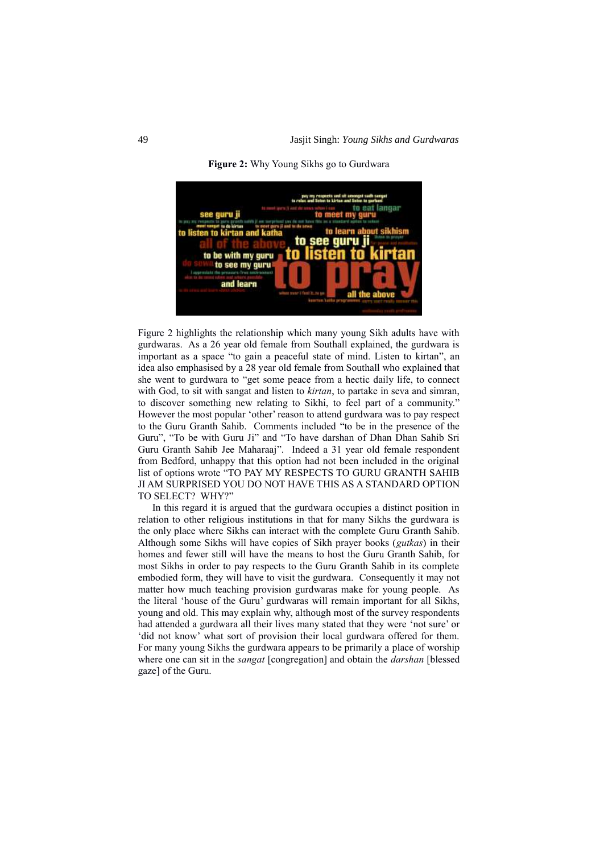

**Figure 2:** Why Young Sikhs go to Gurdwara

Figure 2 highlights the relationship which many young Sikh adults have with gurdwaras. As a 26 year old female from Southall explained, the gurdwara is important as a space "to gain a peaceful state of mind. Listen to kirtan", an idea also emphasised by a 28 year old female from Southall who explained that she went to gurdwara to "get some peace from a hectic daily life, to connect with God, to sit with sangat and listen to *kirtan*, to partake in seva and simran, to discover something new relating to Sikhi, to feel part of a community." However the most popular 'other' reason to attend gurdwara was to pay respect to the Guru Granth Sahib. Comments included "to be in the presence of the Guru", "To be with Guru Ji" and "To have darshan of Dhan Dhan Sahib Sri Guru Granth Sahib Jee Maharaaj". Indeed a 31 year old female respondent from Bedford, unhappy that this option had not been included in the original list of options wrote "TO PAY MY RESPECTS TO GURU GRANTH SAHIB JI AM SURPRISED YOU DO NOT HAVE THIS AS A STANDARD OPTION TO SELECT? WHY?"

In this regard it is argued that the gurdwara occupies a distinct position in relation to other religious institutions in that for many Sikhs the gurdwara is the only place where Sikhs can interact with the complete Guru Granth Sahib. Although some Sikhs will have copies of Sikh prayer books (*gutkas*) in their homes and fewer still will have the means to host the Guru Granth Sahib, for most Sikhs in order to pay respects to the Guru Granth Sahib in its complete embodied form, they will have to visit the gurdwara. Consequently it may not matter how much teaching provision gurdwaras make for young people. As the literal 'house of the Guru' gurdwaras will remain important for all Sikhs, young and old. This may explain why, although most of the survey respondents had attended a gurdwara all their lives many stated that they were 'not sure' or 'did not know' what sort of provision their local gurdwara offered for them. For many young Sikhs the gurdwara appears to be primarily a place of worship where one can sit in the *sangat* [congregation] and obtain the *darshan* [blessed gaze] of the Guru.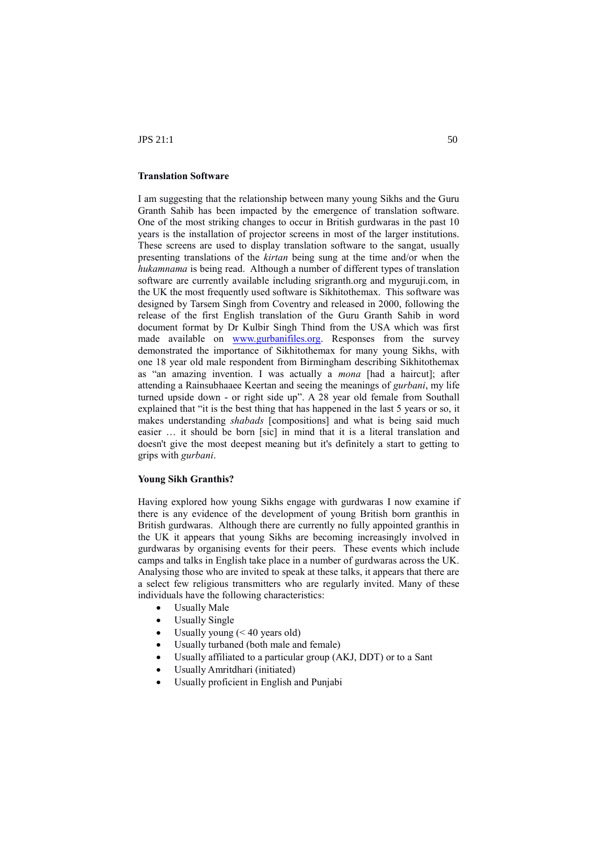## **Translation Software**

I am suggesting that the relationship between many young Sikhs and the Guru Granth Sahib has been impacted by the emergence of translation software. One of the most striking changes to occur in British gurdwaras in the past 10 years is the installation of projector screens in most of the larger institutions. These screens are used to display translation software to the sangat, usually presenting translations of the *kirtan* being sung at the time and/or when the *hukamnama* is being read. Although a number of different types of translation software are currently available including srigranth.org and myguruji.com, in the UK the most frequently used software is Sikhitothemax. This software was designed by Tarsem Singh from Coventry and released in 2000, following the release of the first English translation of the Guru Granth Sahib in word document format by Dr Kulbir Singh Thind from the USA which was first made available on [www.gurbanifiles.org.](http://www.gurbanifiles.org/) Responses from the survey demonstrated the importance of Sikhitothemax for many young Sikhs, with one 18 year old male respondent from Birmingham describing Sikhitothemax as "an amazing invention. I was actually a *mona* [had a haircut]; after attending a Rainsubhaaee Keertan and seeing the meanings of *gurbani*, my life turned upside down - or right side up". A 28 year old female from Southall explained that "it is the best thing that has happened in the last 5 years or so, it makes understanding *shabads* [compositions] and what is being said much easier … it should be born [sic] in mind that it is a literal translation and doesn't give the most deepest meaning but it's definitely a start to getting to grips with *gurbani*.

## **Young Sikh Granthis?**

Having explored how young Sikhs engage with gurdwaras I now examine if there is any evidence of the development of young British born granthis in British gurdwaras. Although there are currently no fully appointed granthis in the UK it appears that young Sikhs are becoming increasingly involved in gurdwaras by organising events for their peers. These events which include camps and talks in English take place in a number of gurdwaras across the UK. Analysing those who are invited to speak at these talks, it appears that there are a select few religious transmitters who are regularly invited. Many of these individuals have the following characteristics:

- Usually Male
- Usually Single
- Usually young  $( $40$  years old)$
- Usually turbaned (both male and female)
- Usually affiliated to a particular group (AKJ, DDT) or to a Sant
- Usually Amritdhari (initiated)
- Usually proficient in English and Punjabi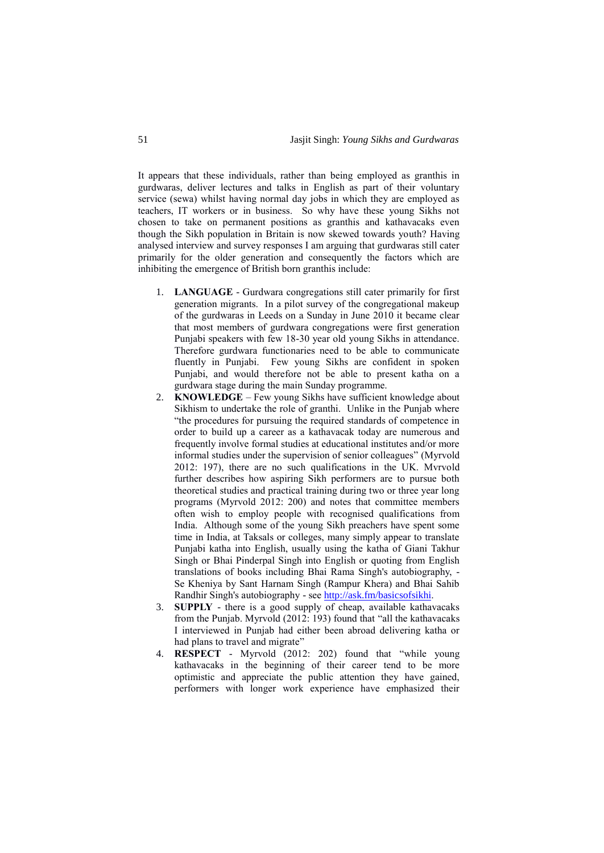It appears that these individuals, rather than being employed as granthis in gurdwaras, deliver lectures and talks in English as part of their voluntary service (sewa) whilst having normal day jobs in which they are employed as teachers, IT workers or in business. So why have these young Sikhs not chosen to take on permanent positions as granthis and kathavacaks even though the Sikh population in Britain is now skewed towards youth? Having analysed interview and survey responses I am arguing that gurdwaras still cater primarily for the older generation and consequently the factors which are inhibiting the emergence of British born granthis include:

- 1. **LANGUAGE** Gurdwara congregations still cater primarily for first generation migrants. In a pilot survey of the congregational makeup of the gurdwaras in Leeds on a Sunday in June 2010 it became clear that most members of gurdwara congregations were first generation Punjabi speakers with few 18-30 year old young Sikhs in attendance. Therefore gurdwara functionaries need to be able to communicate fluently in Punjabi. Few young Sikhs are confident in spoken Punjabi, and would therefore not be able to present katha on a gurdwara stage during the main Sunday programme.
- 2. **KNOWLEDGE** Few young Sikhs have sufficient knowledge about Sikhism to undertake the role of granthi. Unlike in the Punjab where "the procedures for pursuing the required standards of competence in order to build up a career as a kathavacak today are numerous and frequently involve formal studies at educational institutes and/or more informal studies under the supervision of senior colleagues" (Myrvold 2012: 197), there are no such qualifications in the UK. Mvrvold further describes how aspiring Sikh performers are to pursue both theoretical studies and practical training during two or three year long programs (Myrvold 2012: 200) and notes that committee members often wish to employ people with recognised qualifications from India. Although some of the young Sikh preachers have spent some time in India, at Taksals or colleges, many simply appear to translate Punjabi katha into English, usually using the katha of Giani Takhur Singh or Bhai Pinderpal Singh into English or quoting from English translations of books including Bhai Rama Singh's autobiography, - Se Kheniya by Sant Harnam Singh (Rampur Khera) and Bhai Sahib Randhir Singh's autobiography - se[e http://ask.fm/basicsofsikhi.](http://ask.fm/basicsofsikhi)
- 3. **SUPPLY** there is a good supply of cheap, available kathavacaks from the Punjab. Myrvold (2012: 193) found that "all the kathavacaks I interviewed in Punjab had either been abroad delivering katha or had plans to travel and migrate"
- 4. **RESPECT** Myrvold (2012: 202) found that "while young kathavacaks in the beginning of their career tend to be more optimistic and appreciate the public attention they have gained, performers with longer work experience have emphasized their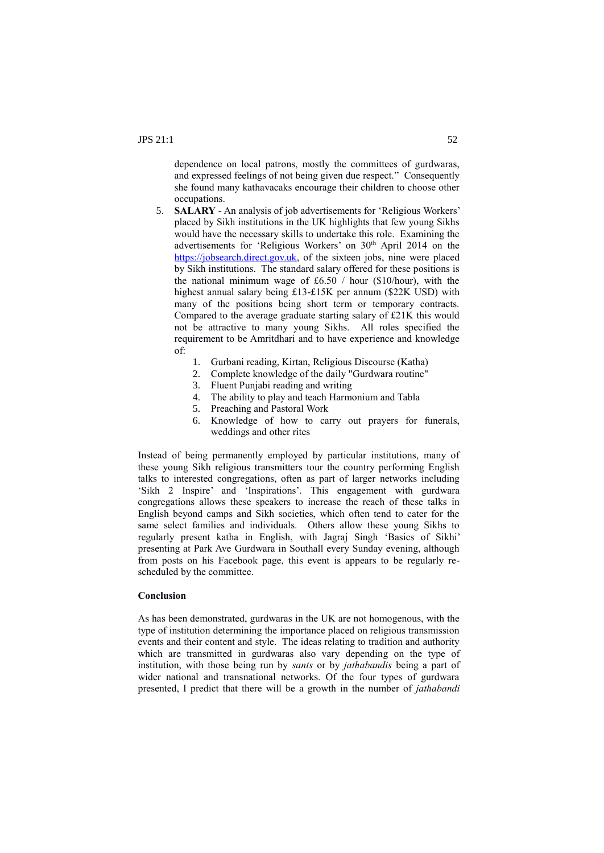dependence on local patrons, mostly the committees of gurdwaras, and expressed feelings of not being given due respect." Consequently she found many kathavacaks encourage their children to choose other occupations.

- 5. **SALARY** An analysis of job advertisements for 'Religious Workers' placed by Sikh institutions in the UK highlights that few young Sikhs would have the necessary skills to undertake this role. Examining the advertisements for 'Religious Workers' on 30<sup>th</sup> April 2014 on the [https://jobsearch.direct.gov.uk,](https://jobsearch.direct.gov.uk/) of the sixteen jobs, nine were placed by Sikh institutions. The standard salary offered for these positions is the national minimum wage of £6.50  $/$  hour (\$10/hour), with the highest annual salary being £13-£15K per annum (\$22K USD) with many of the positions being short term or temporary contracts. Compared to the average graduate starting salary of £21K this would not be attractive to many young Sikhs. All roles specified the requirement to be Amritdhari and to have experience and knowledge of:
	- 1. Gurbani reading, Kirtan, Religious Discourse (Katha)
	- 2. Complete knowledge of the daily "Gurdwara routine"
	- 3. Fluent Punjabi reading and writing
	- 4. The ability to play and teach Harmonium and Tabla
	- 5. Preaching and Pastoral Work
	- 6. Knowledge of how to carry out prayers for funerals, weddings and other rites

Instead of being permanently employed by particular institutions, many of these young Sikh religious transmitters tour the country performing English talks to interested congregations, often as part of larger networks including 'Sikh 2 Inspire' and 'Inspirations'. This engagement with gurdwara congregations allows these speakers to increase the reach of these talks in English beyond camps and Sikh societies, which often tend to cater for the same select families and individuals. Others allow these young Sikhs to regularly present katha in English, with Jagraj Singh 'Basics of Sikhi' presenting at Park Ave Gurdwara in Southall every Sunday evening, although from posts on his Facebook page, this event is appears to be regularly rescheduled by the committee.

## **Conclusion**

As has been demonstrated, gurdwaras in the UK are not homogenous, with the type of institution determining the importance placed on religious transmission events and their content and style. The ideas relating to tradition and authority which are transmitted in gurdwaras also vary depending on the type of institution, with those being run by *sants* or by *jathabandis* being a part of wider national and transnational networks. Of the four types of gurdwara presented, I predict that there will be a growth in the number of *jathabandi*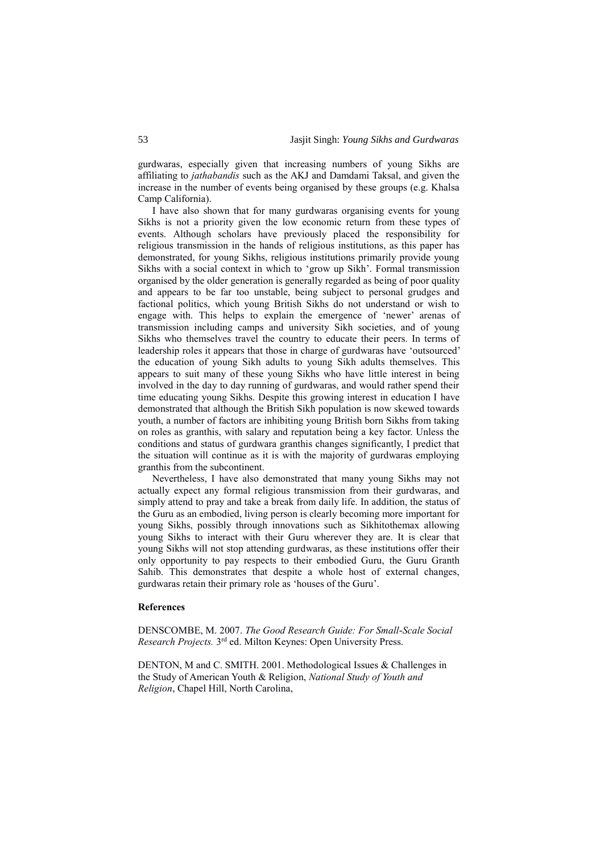gurdwaras, especially given that increasing numbers of young Sikhs are affiliating to *jathabandis* such as the AKJ and Damdami Taksal, and given the increase in the number of events being organised by these groups (e.g. Khalsa Camp California).

I have also shown that for many gurdwaras organising events for young Sikhs is not a priority given the low economic return from these types of events. Although scholars have previously placed the responsibility for religious transmission in the hands of religious institutions, as this paper has demonstrated, for young Sikhs, religious institutions primarily provide young Sikhs with a social context in which to 'grow up Sikh'. Formal transmission organised by the older generation is generally regarded as being of poor quality and appears to be far too unstable, being subject to personal grudges and factional politics, which young British Sikhs do not understand or wish to engage with. This helps to explain the emergence of 'newer' arenas of transmission including camps and university Sikh societies, and of young Sikhs who themselves travel the country to educate their peers. In terms of leadership roles it appears that those in charge of gurdwaras have 'outsourced' the education of young Sikh adults to young Sikh adults themselves. This appears to suit many of these young Sikhs who have little interest in being involved in the day to day running of gurdwaras, and would rather spend their time educating young Sikhs. Despite this growing interest in education I have demonstrated that although the British Sikh population is now skewed towards youth, a number of factors are inhibiting young British born Sikhs from taking on roles as granthis, with salary and reputation being a key factor. Unless the conditions and status of gurdwara granthis changes significantly, I predict that the situation will continue as it is with the majority of gurdwaras employing granthis from the subcontinent.

Nevertheless, I have also demonstrated that many young Sikhs may not actually expect any formal religious transmission from their gurdwaras, and simply attend to pray and take a break from daily life. In addition, the status of the Guru as an embodied, living person is clearly becoming more important for young Sikhs, possibly through innovations such as Sikhitothemax allowing young Sikhs to interact with their Guru wherever they are. It is clear that young Sikhs will not stop attending gurdwaras, as these institutions offer their only opportunity to pay respects to their embodied Guru, the Guru Granth Sahib. This demonstrates that despite a whole host of external changes, gurdwaras retain their primary role as 'houses of the Guru'.

#### **References**

DENSCOMBE, M. 2007. *The Good Research Guide: For Small-Scale Social Research Projects.* 3 rd ed. Milton Keynes: Open University Press.

DENTON, M and C. SMITH. 2001. Methodological Issues & Challenges in the Study of American Youth & Religion, *National Study of Youth and Religion*, Chapel Hill, North Carolina,